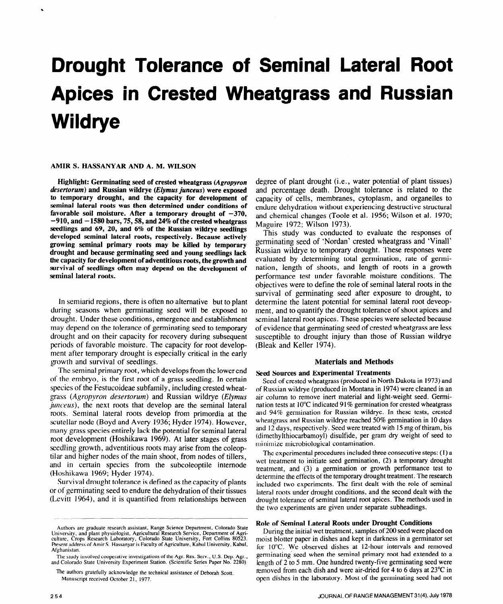# **Drought Tolerance of Seminal Lateral Root Apices in Crested Wheatgrass and Russian Wildrye**

# **AMIR S. HASSANYAR AND A. M. WILSON**

**Highlight: Germinating seed of crested wheatgrass** *(Agropyron ciesertorum)* **and Russian wildrye (Elymus** *junceus)* **were exposed to temporary drought, and the capacity for development of seminal lateral roots was then determined under conditions of**  favorable soil moisture. After a temporary drought of  $-370$ , **-910, and - 1580 bars, 75,58, and 24% of the crested wheatgrass seedlings and 69, 20, and 6% of the Russian wildrye seedlings developed seminal lateral roots, respectively. Because actively growing seminal primary roots may be killed by temporary drought and because germinating seed and young seedlings lack the capacity for development of adventitious roots, the growth and survival of seedlings often may depend on the development of seminal lateral roots.** 

In semiarid regions, there is often no alternative but to plant during seasons when germinating seed will be exposed to drought. Under these conditions, emergence and establishment may depend on the tolerance of germinating seed to temporary drought and on their capacity for recovery during subsequent periods of favorable moisture. The capacity for root development after temporary drought is especially critical in the early growth and survival of seedlings.

The seminal primary root, which develops from the lower end of the embryo, is the first root of a grass seedling. In certain species of the Festucoideae subfamily, including crested wheatgrass (Agropyron desertorum) and Russian wildrye (Elymus junceus), the next roots that develop are the seminal lateral roots. Seminal lateral roots develop from primordia at the scutellar node (Boyd and Avery 1936; Hyder 1974). However, many grass species entirely lack the potential for seminal lateral root development (Hoshikawa 1969). At later stages of grass seedling growth, adventitious roots may arise from the coleoptilar and higher nodes of the main shoot, from nodes of tillers, and in certain species from the subcoleoptile internode (Hoshikawa 1969; Hyder 1974).

Survival drought tolerance is defined as the capacity of plants or of germinating seed to endure the dehydration of their tissues (Levitt 1964), and it is quantified from relationships between

degree of plant drought (i.e., water potential of plant tissues) and percentage death. Drought tolerance is related to the capacity of cells, membranes, cytoplasm, and organelles to endure dehydration without experiencing destructive structural and chemical changes (Toole et al. 1956; Wilson et al. 1970; Maguire 1972; Wilson 1973).

This study was conducted to evaluate the responses of germinating seed of 'Nordan' crested wheatgrass and 'Vinall' Russian wildrye to temporary drought. These responses were evaluated by determining total germination, rate of germination, length of shoots, and length of roots in a growth performance test under favorable moisture conditions. The objectives were to define the role of seminal lateral roots in the survival of germinating seed after exposure to drought, to determine the latent potential for seminal lateral root deveopment, and to quantify the drought tolerance of shoot apices and seminal lateral root apices. These species were selected because of evidence that germinating seed of crested wheatgrass are less susceptible to drought injury than those of Russian wildrye (Bleak and Keller 1974).

## **Materials and Methods**

## **Seed Sources and Experimental Treatments**

Seed of crested wheatgrass (produced in North Dakota in **1973)** and of Russian wildrye (produced in Montana in 1974) were cleaned in an air column to remove inert material and light-weight seed. Germination tests at 10°C indicated 91% germination for crested wheatgrass and 94% germination for Russian wildrye. In these tests, crested wheatgrass and Russian wildrye reached 50% germination in 10 days and 12 days, respectively. Seed were treated with 15 mg of thiram, bis (dimethylthiocarbamoyl) disulfide, per gram dry weight of seed to minimize microbiological contamination.

The experimental procedures included three consecutive steps: (1) a wet treatment to initiate seed germination, (2) a temporary drought treatment, and (3) a germination or growth performance test to determine the effects of the temporary drought treatment. The research included two experiments. The first dealt with the role of seminal lateral roots under drought conditions, and the second dealt with the drought tolerance of seminal lateral root apices. The methods used in the two experiments are given under separate subheadings.

## **Role of Seminal Lateral Roots under Drought Conditions**

moist blotter paper in dishes and kept in darkness in a germinator set rresent address of Amir S. Hassanyar is racuity of Agriculture, Kabul University, Kabul, for 10°C. We observed dishes at 12-hour intervals and removed Afghanistan. germinating seed when the seminal primary root had extended to a The study involved cooperative investigations of the Agr. Res. Serv., U.S. Dep. Agr., germinating seed when the seminal primary root had extended to a and Colorado State University Experiment Station. (Scientific Series Pa The authors gratefully acknowledge the technical assistance of Deborah Scott. **removed from each dish and were air-dried for 4 to 6 days at 23°C in** Manuscript received October 21, 1977. **open dishes in the laboratory.** Most of the germinating seed had not

Authors are graduate research assistant, Range Science Department, Colorado State Authors are graduate research assistant, Kange Science Department, Colorado State<br>University, and plant physiologist, Agricultural Research Service, Department of Agri-<br>During the initial wet treatment, samples of 200 seed culture, Crops Research Laboratory, Colorado State University, Fort Collins 80523. Present address of Amir S. Hassanyar is Faculty of Agriculture, Kabul University, Kabul,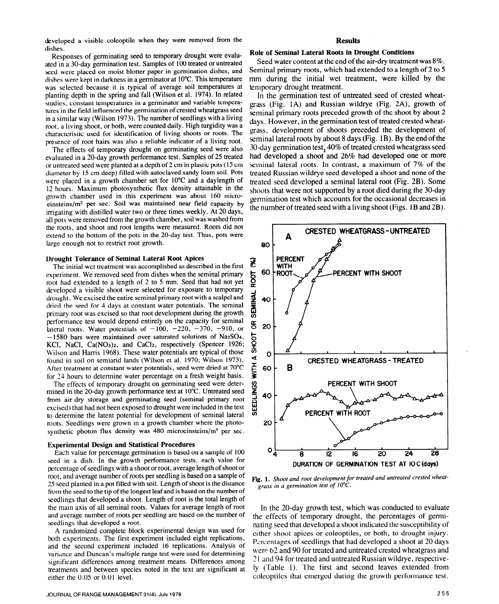developed a visible coleoptile when they were removed from the dishes.

Responses of germinating seed to temporary drought were evaluated in a 30-day germination test. Samples of 100 treated or untreated seed were placed on moist blotter paper in germination dishes, and dishes were kept in darkness in a germinator at 10°C. This temperature was selected because it is typical of average soil temperatures at planting depth in the spring and fall (Wilson et al. 1974). In related studies, constant temperatures in a germinator and variable temperatures in the field influenced the germination of crested wheatgrass seed in a similar way (Wilson 1973). The number of seedlings with a living root, a living shoot, or both, were counted daily. High turgidity was a characteristic used for identification of living shoots or roots. The presence of root hairs was also a reliable indicator of a living root.

The effects of temporary drought on germinating seed were also evaluated in a 20-day growth performance test. Samples of 25 treated or untreated seed were planted at a depth of 2 cm in plastic pots (15 cm diameter by 15 cm deep) filled with autoclaved sandy loam soil. Pots were placed in a growth chamber set for 10°C and a daylength of 12 hours. Maximum photosynthetic flux density attainable in the growth chamber used in this experiment was about 160 microeinsteins/m<sup>2</sup> per sec. Soil was maintained near field capacity by irrigating with distilled water two or three times weekly. At 20 days, all pots were removed from the growth chamber, soil was washed from the roots, and shoot and root lengths were measured. Roots did not extend to the bottom of the pots in the 20-day test. Thus, pots were large enough not to restrict root growth.

## **Drought Tolerance of Seminal Lateral Root Apices**

The initial wet treatment was accomplished as described in the first experiment. We removed seed from dishes when the seminal primary root had extended to a length of 2 to 5 mm. Seed that had not yet developed a visible shoot were selected for exposure to temporary drought. We excised the entire seminal primary root with a scalpel and dried the seed for 4 days at constant water potentials. The seminal primary root was excised so that root development during the growth performance test would depend entirely on the capacity for seminal lateral roots. Water potentials of  $-100$ ,  $-220$ ,  $-370$ ,  $-910$ , or - 1580 bars were maintained over saturated solutions of Na2S04, KCl, NaCl, Ca(NO3)2, and CaCl2, respectively (Spencer 1926; Wilson and Harris 1968). These water potentials are typical of those found in soil on semiarid lands (Wilson et al. 1970; Wilson 1973). After treatment at constant water potentials, seed were dried at 70°C for 24 hours to determine water percentage on a fresh weight basis.

The effects of temporary drought on germinating seed were determined in the 20-day growth performance test at 10°C. Untreated seed from air-dry storage and germinating seed (seminal primary root excised) that had not been exposed to drought were included in the test to determine the latent potential for development of seminal lateral roots. Seedlings were grown in a growth chamber where the photosynthetic photon flux density was 480 microeinsteins/m2 per sec.

## **Experimental Design and Statistical Procedures**

Each value for percentage germination is based on a sample of 100 seed in a dish. In the growth performance tests, each value for percentage of seedlings with a shoot or root, average length of shoot or root, and average number of roots per seedling is based on a sample of 25 seed planted in a pot filled with soil. Length of shoot is the distance from the seed to the tip of the longest leaf and is based on the number of seedlings that developed a shoot. Length of root is the total length of the main axis of all seminal roots. Values for average length of root and average number of roots per seedling are based on the number of seedlings that developed a root.

A randomized complete block experimental design was used for both experiments. The first experiment included eight replications, and the second experiment included 16 replications. Analysis of variance and Duncan's multiple range test were used for determining significant differences among treatment means. Differences among treatments and between species noted in the text are significant at either the 0.05 or 0.01 level.

# **Results**

## **Role of Seminal Lateral Roots in Drought Conditions**

Seed water content at the end of the air-dry treatment was 8%. Seminal primary roots, which had extended to a length of **2** to 5 mm during the initial wet treatment, were killed by the temporary drought treatment.

In the germination test of untreated seed of crested wheatgrass (Fig. 1A) and Russian wildrye (Fig. 2A), growth of seminal primary roots preceded growth of the shoot by about 2 days. However, in the germination test of treated crested wheatgrass, development of shoots preceded the development of seminal lateral roots by about 8 days (Fig. 1B). By the end of the 30-day germination test, 40% of treated crested wheatgrass seed had developed a shoot and 26% had developed one or **more**  seminal lateral roots. In contrast, a maximum of 7% of the treated Russian wildrye seed developed a shoot and none of the treated seed developed a seminal lateral root (Fig. 2B). Some shoots that were not supported by a root died during the 30-day germination test which accounts for the occasional decreases in the number of treated seed with a living shoot (Figs. 1 B and 2B).



**Fig. 1.** *Shoot and root development for treated and untreated crested grass in a germination test of* **10°C.** 

In the 20-day growth test, which was conducted to evaluate the effects of temporary drought, the percentages of germinating seed that developed a shoot indicated the susceptibility of either shoot apices or coleoptiles, or both, to drought injury. Percentages of seedlings that had developed a shoot at 20 days were 62 and 90 for treated and untreated crested wheatgrass and 2 1 and 94 for treated and untreated Russian wildrye, respectively (Table 1). The first and second leaves extended from coleoptiles that emerged during the growth performance test.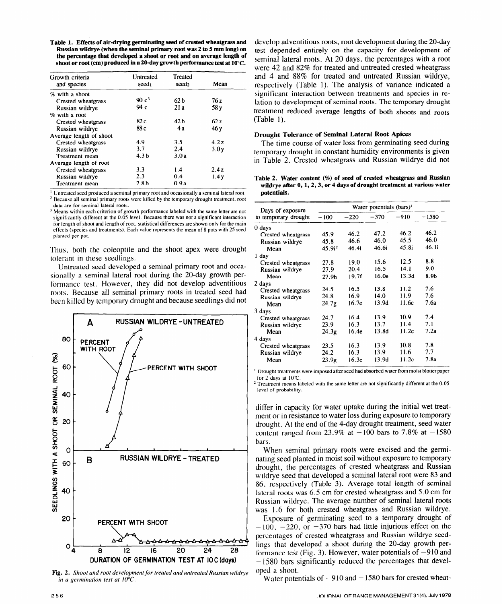**Table 1. Effects of air-drying germinating seed of crested wheatgrass and Russian wildrye (when the seminal primary root was 2 to 5 mm long) on the percentage that developed a shoot or root and on average length of shoot or root (cm) produced in a 20-day growth performance test at 10°C.** 

| Growth criteria         | Untreated         | Treated           |      |  |
|-------------------------|-------------------|-------------------|------|--|
| and species             | seed <sub>1</sub> | seed <sub>2</sub> | Mean |  |
| % with a shoot          |                   |                   |      |  |
| Crested wheatgrass      | 90c <sup>3</sup>  | 62 <sub>b</sub>   | 76 z |  |
| Russian wildrye         | 94c               | 21a               | 58 y |  |
| % with a root           |                   |                   |      |  |
| Crested wheatgrass      | 82 c              | 42 <sub>b</sub>   | 62z  |  |
| Russian wildrye         | 88 c              | 4 a               | 46 y |  |
| Average length of shoot |                   |                   |      |  |
| Crested wheatgrass      | 4.9               | 35                | 42z  |  |
| Russian wildrye         | 3.7               | 2.4               | 3.0v |  |
| Treatment mean          | 4.3 <sub>b</sub>  | 3.0a              |      |  |
| Average length of root  |                   |                   |      |  |
| Crested wheatgrass      | 3.3               | 1.4               | 2.4z |  |
| Russian wildrye         | 2.3               | 0.4               | 1.4y |  |
| Treatment mean          | 2.8 <sub>b</sub>  | 0.9a              |      |  |

<sup>1</sup> Untreated seed produced a seminal primary root and occasionally a seminal lateral root.

**\* Because all seminal primary roots were killed by the temporary drought treatment, root data are for seminal lateral roots.** 

**3 Means within each criterion of growth performance labeled with the same letter are not significantly different at the 0.05 level. Because there was not a significant interaction for length of shoot and length of root, statistical differences are shown only for the main effects (species and treatments). Each value represents the mean of 8 pots with 25 seed planted per pot.** 

Thus, both the coleoptile and the shoot apex were drought tolerant in these seedlings.

Untreated seed developed a seminal primary root and occasionally a seminal lateral root during the 20-day growth performance test. However, they did not develop adventitious roots. Because all seminal primary roots in treated seed had been killed by temporary drought and because seedlings did not



**Fig. 2.** *Shoot and root development for treated and untreated Russian wildrye in a germination test at 10°C.* 

develop adventitious roots, root development during the 20-day test depended entirely on the capacity for development of seminal lateral roots. At 20 days, the percentages with a root were 42 and **82%** for treated and untreated crested wheatgrass and 4 and 88% for treated and untreated Russian wildrye, respectively (Table 1). The analysis of variance indicated a significant interaction between treatments and species in relation to development of seminal roots. The temporary drought treatment reduced average lengths of both shoots and roots (Table 1).

# **Drought Tolerance of Seminal Lateral Root Apices**

The time course of water loss from germinating seed during temporary drought in constant humidity environments is given in Table 2. Crested wheatgrass and Russian wildrye did not

**Table 2. Water content (?6) of seed of crested wheatgrass and Russian wildrye after 0, 1,2,3, or 4 days of drought treatment at various water potentials.** 

| Days of exposure     | Water potentials $(bars)^1$ |                   |        |       |         |
|----------------------|-----------------------------|-------------------|--------|-------|---------|
| to temporary drought | $-100$                      | $-220$            | $-370$ | -910  | $-1580$ |
| 0 days               |                             |                   |        |       |         |
| Crested wheatgrass   | 45.9                        | 46.2              | 47.2   | 46.2  | 46.2    |
| Russian wildrye      | 45.8                        | 46.6              | 46.0   | 45.5  | 46.0    |
| Mean                 | 45.9i <sup>2</sup>          | 46.4i             | 46.6i  | 45.8i | 46.1i   |
| 1 day                |                             |                   |        |       |         |
| Crested wheatgrass   | 27.8                        | 19.0              | 15.6   | 12.5  | 8.8     |
| Russian wildrye      | 27.9                        | 20.4              | 16.5   | 14.1  | 9.0     |
| Mean                 | 27.9h                       | 19.7f             | 16.0e  | 13.3d | 8.9b    |
| 2 days               |                             |                   |        |       |         |
| Crested wheatgrass   | 24.5                        | 16.5              | 13.8   | 11.2  | 7.6     |
| Russian wildrye      | 24.8                        | 16.9              | 14.0   | 11.9  | 7.6     |
| Mean                 | 24.7g                       | 16.7 <sub>e</sub> | 13.9d  | 11.6c | 7.6a    |
| 3 days               |                             |                   |        |       |         |
| Crested wheatgrass   | 24.7                        | 16.4              | 13.9   | 10.9  | 7.4     |
| Russian wildrye      | 23.9                        | 16.3              | 13.7   | 11.4  | 7.1     |
| Mean                 | 24.3g                       | 16.4e             | 13.8d  | 11.2c | 7.2a    |
| 4 days               |                             |                   |        |       |         |
| Crested wheatgrass   | 23.5                        | 16.3              | 13.9   | 10.8  | 7.8     |
| Russian wildrye      | 24.2                        | 16.3              | 13.9   | 11.6  | 7.7     |
| Mean                 | 23.9g                       | 16.3 <sub>e</sub> | 13.9d  | 11.2c | 7.8a    |

**' Drought treatments were imposed after seed had absorbed water from moist blotter paper for 2 days at 10°C.** 

**2 Treatment means labeled with the same letter are not significantly different at the 0.05 level of probability.** 

differ in capacity for water uptake during the initial wet treatment or in resistance to water loss during exposure to temporary drought. At the end of the 4-day drought treatment, seed water content ranged from 23.9% at  $-100$  bars to 7.8% at  $-1580$ bars.

When seminal primary roots were excised and the germinating seed planted in moist soil without exposure to temporary drought, the percentages of crested wheatgrass and Russian w ildrye seed that developed a seminal lateral root were 83 and 86, respectively (Table 3). Average total length of seminal lateral roots was 6.5 cm for crested wheatgrass and 5.0 cm for Russian wildrye. The average number of seminal lateral roots was 1.6 for both crested wheatgrass and Russian wildrye.

Exposure of germinating seed to a temporary drought of  $-100$ ,  $-220$ , or  $-370$  bars had little injurious effect on the percentages of crested wheatgrass and Russian wildrye seedlings that developed a shoot during the 20-day growth performance test (Fig. 3). However, water potentials of  $-910$  and - 1580 bars significantly reduced the percentages that developed a shoot.

Water potentials of  $-910$  and  $-1580$  bars for crested wheat-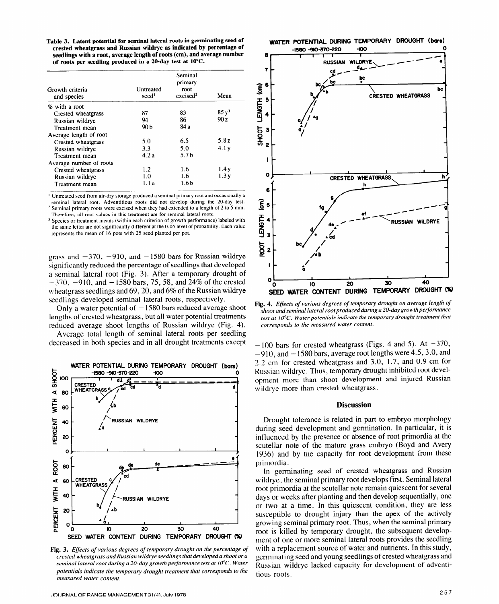**Table 3. Latent potential for seminal lateral roots in germinating seed of crested wheatgrass and Russian wildrye as indicated by percentage of seedlings with a root, average length of roots (cm), and average number of roots per seedling produced in a ZO-day test at 10°C.** 

| Growth criteria<br>and species | Untreated<br>seed <sup>1</sup> | Seminal<br>primary<br>root<br>excised <sup>2</sup> | Mean    |
|--------------------------------|--------------------------------|----------------------------------------------------|---------|
| % with a root                  |                                |                                                    |         |
| Crested wheatgrass             | 87                             | 83                                                 | $85y^3$ |
| Russian wildrye                | 94                             | 86                                                 | 90z     |
| Treatment mean                 | 90 b                           | 84 a                                               |         |
| Average length of root         |                                |                                                    |         |
| Crested wheatgrass             | 5.0                            | 6.5                                                | 5.8z    |
| Russian wildrye                | 3.3                            | 5.0                                                | 4.1y    |
| Treatment mean                 | 4.2a                           | 5.7 <sub>b</sub>                                   |         |
| Average number of roots        |                                |                                                    |         |
| Crested wheatgrass             | 1.2                            | 1.6                                                | 1.4y    |
| Russian wildrye                | 1.0                            | 1.6                                                | 1.3y    |
| Treatment mean                 | 1.1 a                          | 1.6 b                                              |         |

**I Untreated seed from air-dry storage produced a seminal primary root and occasionally a seminal lateral root. Adventitious roots did not develop during the 20-day test. z Seminal primary roots were excised when they had extended to a length of 2** to 5 mm.

**Therefore, all root values in this treatment are** for seminal lateral roots.

<sup>3</sup> Species or treatment means (within each criterion of growth performance) labeled with the same letter are not significantly different at the 0.05 level of probability. **Each value represents the mean of I6 pots with 25 seed planted per pot.** 

grass and  $-370$ ,  $-910$ , and  $-1580$  bars for Russian wildrye significantly reduced the percentage of seedlings that developed a seminal lateral root (Fig. 3). After a temporary drought of  $-370$ ,  $-910$ , and  $-1580$  bars, 75, 58, and 24% of the crested wheatgrass seedlings and  $69$ , 20, and  $6\%$  of the Russian wildrye seedlings developed seminal lateral roots, respectively.

Only a water potential of  $-1580$  bars reduced average shoot lengths of crested wheatgrass, but all water potential treatments reduced average shoot lengths of Russian wildrye (Fig. 4).

Average total length of seminal lateral roots per seedling decreased in both species and in all drought treatments except



**Fig. 3.** *Effects of various degrees of temporary drought on the percentage of crested wheatgrass and Russian wildrye seedlings that developed a shoot or a seminal lateral root during a 20-day growth performance test at 10°C. Water potentials indicate the temporary drought treatment that corresponds to the measured water content.* 



**Fig. 4.** *Effects of various degrees of temporary drought on average length of shoot and seminal lateral* root *produced during a %O-day growth performance test at 10°C. Water potentials indicate the temporary drought treatment that corresponds to the measured water content.* 

 $-100$  bars for crested wheatgrass (Figs. 4 and 5). At  $-370$ ,  $-910$ , and  $-1580$  bars, average root lengths were 4.5, 3.0, and 2.2 cm for crested wheatgrass and 3.0, 1.7, and 0.9 cm for Russian wildrye. Thus, temporary drought inhibited root development more than shoot development and injured Russian wildrye more than crested wheatgrass.

## **Discussion**

Drought tolerance is related in part to embryo morphology during seed development and germination. In particular, it is influenced by the presence or absence of root primordia at the scutellar note of the mature grass embryo (Boyd and Avery 1936) and by the capacity for root development from these primordia.

In germinating seed of crested wheatgrass and Russian w ildrye, the seminal primary root develops first. Seminal lateral root primordia at the scutellar note remain quiescent for several days or weeks after planting and then develop sequentially, one or two at a time. In this quiescent condition, they are less susceptible to drought injury than the apex of the actively growing seminal primary root. Thus, when the seminal primary root is killed by temporary drought, the subsequent development of one or more seminal lateral roots provides the seedling with a replacement source of water and nutrients. In this study, germinating seed and young seedlings of crested wheatgrass and Russian wildrye lacked capacity for development of adventitious roots.